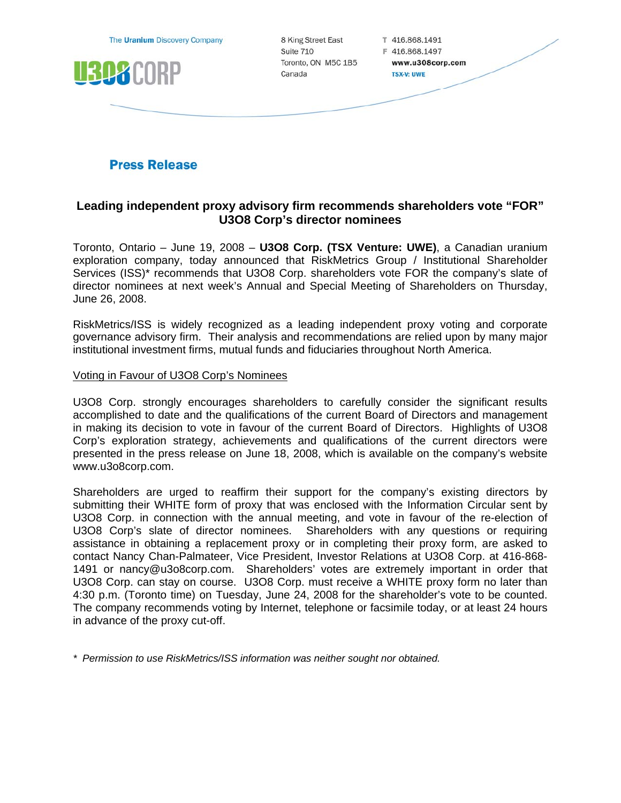

# **Press Release**

# **Leading independent proxy advisory firm recommends shareholders vote "FOR" U3O8 Corp's director nominees**

Toronto, Ontario – June 19, 2008 – **U3O8 Corp. (TSX Venture: UWE)**, a Canadian uranium exploration company, today announced that RiskMetrics Group / Institutional Shareholder Services (ISS)\* recommends that U3O8 Corp. shareholders vote FOR the company's slate of director nominees at next week's Annual and Special Meeting of Shareholders on Thursday, June 26, 2008.

RiskMetrics/ISS is widely recognized as a leading independent proxy voting and corporate governance advisory firm. Their analysis and recommendations are relied upon by many major institutional investment firms, mutual funds and fiduciaries throughout North America.

### Voting in Favour of U3O8 Corp's Nominees

U3O8 Corp. strongly encourages shareholders to carefully consider the significant results accomplished to date and the qualifications of the current Board of Directors and management in making its decision to vote in favour of the current Board of Directors. Highlights of U3O8 Corp's exploration strategy, achievements and qualifications of the current directors were presented in the press release on June 18, 2008, which is available on the company's website www.u3o8corp.com.

Shareholders are urged to reaffirm their support for the company's existing directors by submitting their WHITE form of proxy that was enclosed with the Information Circular sent by U3O8 Corp. in connection with the annual meeting, and vote in favour of the re-election of U3O8 Corp's slate of director nominees. Shareholders with any questions or requiring assistance in obtaining a replacement proxy or in completing their proxy form, are asked to contact Nancy Chan-Palmateer, Vice President, Investor Relations at U3O8 Corp. at 416-868- 1491 or nancy@u3o8corp.com. Shareholders' votes are extremely important in order that U3O8 Corp. can stay on course. U3O8 Corp. must receive a WHITE proxy form no later than 4:30 p.m. (Toronto time) on Tuesday, June 24, 2008 for the shareholder's vote to be counted. The company recommends voting by Internet, telephone or facsimile today, or at least 24 hours in advance of the proxy cut-off.

*\* Permission to use RiskMetrics/ISS information was neither sought nor obtained.*